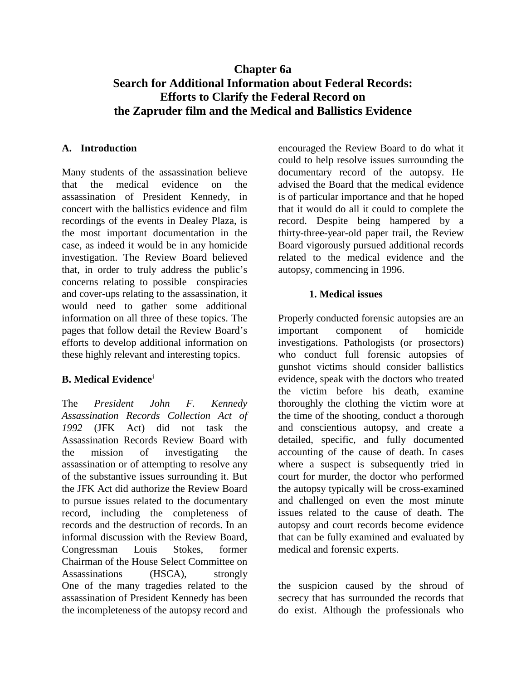# **Chapter 6a Search for Additional Information about Federal Records: Efforts to Clarify the Federal Record on the Zapruder film and the Medical and Ballistics Evidence**

# **A. Introduction**

Many students of the assassination believe that the medical evidence on the assassination of President Kennedy, in concert with the ballistics evidence and film recordings of the events in Dealey Plaza, is the most important documentation in the case, as indeed it would be in any homicide investigation. The Review Board believed that, in order to truly address the public's concerns relating to possible conspiracies and cover-ups relating to the assassination, it would need to gather some additional information on all three of these topics. The pages that follow detail the Review Board's efforts to develop additional information on these highly relevant and interesting topics.

# **B. Medical Evidence**[i](#page-10-0)

The *President John F. Kennedy Assassination Records Collection Act of 1992* (JFK Act) did not task the Assassination Records Review Board with the mission of investigating the assassination or of attempting to resolve any of the substantive issues surrounding it. But the JFK Act did authorize the Review Board to pursue issues related to the documentary record, including the completeness of records and the destruction of records. In an informal discussion with the Review Board, Congressman Louis Stokes, former Chairman of the House Select Committee on Assassinations (HSCA), strongly One of the many tragedies related to the assassination of President Kennedy has been the incompleteness of the autopsy record and

encouraged the Review Board to do what it could to help resolve issues surrounding the documentary record of the autopsy. He advised the Board that the medical evidence is of particular importance and that he hoped that it would do all it could to complete the record. Despite being hampered by a thirty-three-year-old paper trail, the Review Board vigorously pursued additional records related to the medical evidence and the autopsy, commencing in 1996.

# **1. Medical issues**

Properly conducted forensic autopsies are an important component of homicide investigations. Pathologists (or prosectors) who conduct full forensic autopsies of gunshot victims should consider ballistics evidence, speak with the doctors who treated the victim before his death, examine thoroughly the clothing the victim wore at the time of the shooting, conduct a thorough and conscientious autopsy, and create a detailed, specific, and fully documented accounting of the cause of death. In cases where a suspect is subsequently tried in court for murder, the doctor who performed the autopsy typically will be cross-examined and challenged on even the most minute issues related to the cause of death. The autopsy and court records become evidence that can be fully examined and evaluated by medical and forensic experts.

the suspicion caused by the shroud of secrecy that has surrounded the records that do exist. Although the professionals who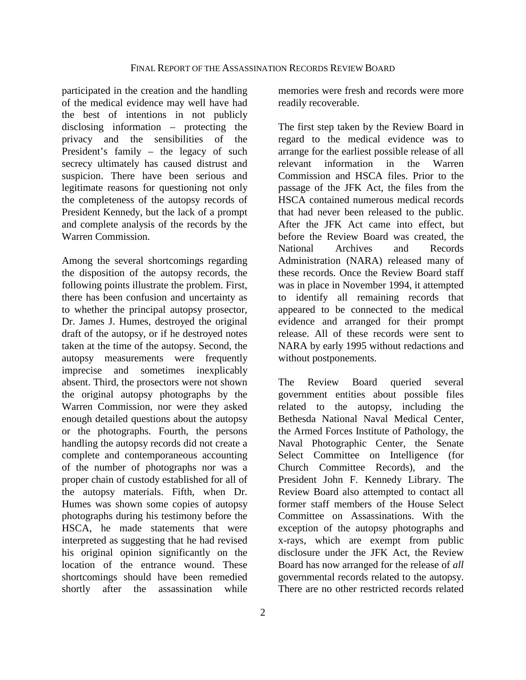participated in the creation and the handling of the medical evidence may well have had the best of intentions in not publicly disclosing information – protecting the privacy and the sensibilities of the President's family – the legacy of such secrecy ultimately has caused distrust and suspicion. There have been serious and legitimate reasons for questioning not only the completeness of the autopsy records of President Kennedy, but the lack of a prompt and complete analysis of the records by the Warren Commission.

Among the several shortcomings regarding the disposition of the autopsy records, the following points illustrate the problem. First, there has been confusion and uncertainty as to whether the principal autopsy prosector, Dr. James J. Humes, destroyed the original draft of the autopsy, or if he destroyed notes taken at the time of the autopsy. Second, the autopsy measurements were frequently imprecise and sometimes inexplicably absent. Third, the prosectors were not shown the original autopsy photographs by the Warren Commission, nor were they asked enough detailed questions about the autopsy or the photographs. Fourth, the persons handling the autopsy records did not create a complete and contemporaneous accounting of the number of photographs nor was a proper chain of custody established for all of the autopsy materials. Fifth, when Dr. Humes was shown some copies of autopsy photographs during his testimony before the HSCA, he made statements that were interpreted as suggesting that he had revised his original opinion significantly on the location of the entrance wound. These shortcomings should have been remedied shortly after the assassination while

2

memories were fresh and records were more readily recoverable.

The first step taken by the Review Board in regard to the medical evidence was to arrange for the earliest possible release of all relevant information in the Warren Commission and HSCA files. Prior to the passage of the JFK Act, the files from the HSCA contained numerous medical records that had never been released to the public. After the JFK Act came into effect, but before the Review Board was created, the National Archives and Records Administration (NARA) released many of these records. Once the Review Board staff was in place in November 1994, it attempted to identify all remaining records that appeared to be connected to the medical evidence and arranged for their prompt release. All of these records were sent to NARA by early 1995 without redactions and without postponements.

The Review Board queried several government entities about possible files related to the autopsy, including the Bethesda National Naval Medical Center, the Armed Forces Institute of Pathology, the Naval Photographic Center, the Senate Select Committee on Intelligence (for Church Committee Records), and the President John F. Kennedy Library. The Review Board also attempted to contact all former staff members of the House Select Committee on Assassinations. With the exception of the autopsy photographs and x-rays, which are exempt from public disclosure under the JFK Act, the Review Board has now arranged for the release of *all* governmental records related to the autopsy. There are no other restricted records related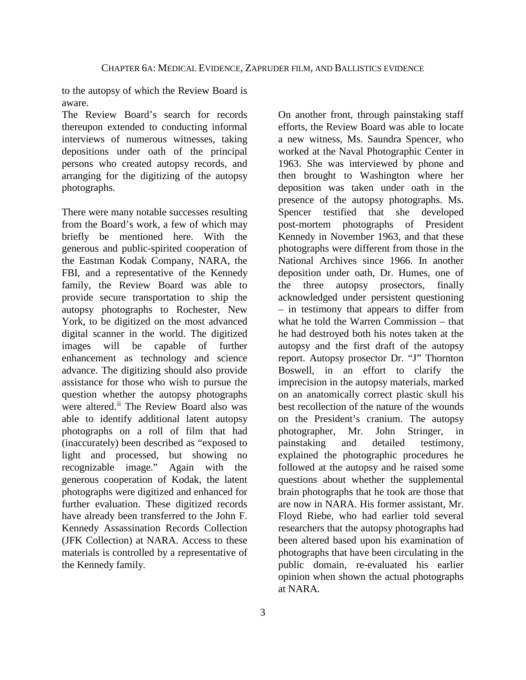to the autopsy of which the Review Board is aware.

The Review Board's search for records thereupon extended to conducting informal interviews of numerous witnesses, taking depositions under oath of the principal persons who created autopsy records, and arranging for the digitizing of the autopsy photographs.

There were many notable successes resulting from the Board's work, a few of which may briefly be mentioned here. With the generous and public-spirited cooperation of the Eastman Kodak Company, NARA, the FBI, and a representative of the Kennedy family, the Review Board was able to provide secure transportation to ship the autopsy photographs to Rochester, New York, to be digitized on the most advanced digital scanner in the world. The digitized images will be capable of further enhancement as technology and science advance. The digitizing should also provide assistance for those who wish to pursue the question whether the autopsy photographs were altered.<sup>[ii](#page-10-1)</sup> The Review Board also was able to identify additional latent autopsy photographs on a roll of film that had (inaccurately) been described as "exposed to light and processed, but showing no recognizable image." Again with the generous cooperation of Kodak, the latent photographs were digitized and enhanced for further evaluation. These digitized records have already been transferred to the John F. Kennedy Assassination Records Collection (JFK Collection) at NARA. Access to these materials is controlled by a representative of the Kennedy family.

On another front, through painstaking staff efforts, the Review Board was able to locate a new witness, Ms. Saundra Spencer, who worked at the Naval Photographic Center in 1963. She was interviewed by phone and then brought to Washington where her deposition was taken under oath in the presence of the autopsy photographs. Ms. Spencer testified that she developed post-mortem photographs of President Kennedy in November 1963, and that these photographs were different from those in the National Archives since 1966. In another deposition under oath, Dr. Humes, one of the three autopsy prosectors, finally acknowledged under persistent questioning – in testimony that appears to differ from what he told the Warren Commission – that he had destroyed both his notes taken at the autopsy and the first draft of the autopsy report. Autopsy prosector Dr. "J" Thornton Boswell, in an effort to clarify the imprecision in the autopsy materials, marked on an anatomically correct plastic skull his best recollection of the nature of the wounds on the President's cranium. The autopsy photographer, Mr. John Stringer, in painstaking and detailed testimony, explained the photographic procedures he followed at the autopsy and he raised some questions about whether the supplemental brain photographs that he took are those that are now in NARA. His former assistant, Mr. Floyd Riebe, who had earlier told several researchers that the autopsy photographs had been altered based upon his examination of photographs that have been circulating in the public domain, re-evaluated his earlier opinion when shown the actual photographs at NARA.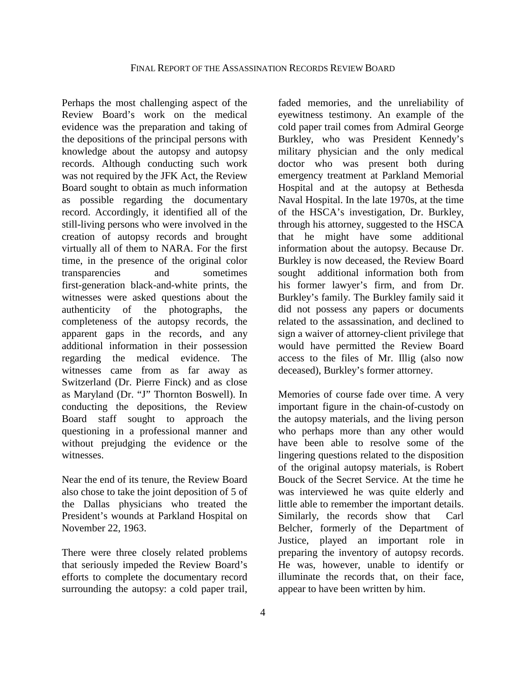Perhaps the most challenging aspect of the Review Board's work on the medical evidence was the preparation and taking of the depositions of the principal persons with knowledge about the autopsy and autopsy records. Although conducting such work was not required by the JFK Act, the Review Board sought to obtain as much information as possible regarding the documentary record. Accordingly, it identified all of the still-living persons who were involved in the creation of autopsy records and brought virtually all of them to NARA. For the first time, in the presence of the original color transparencies and sometimes first-generation black-and-white prints, the witnesses were asked questions about the authenticity of the photographs, the completeness of the autopsy records, the apparent gaps in the records, and any additional information in their possession regarding the medical evidence. The witnesses came from as far away as Switzerland (Dr. Pierre Finck) and as close as Maryland (Dr. "J" Thornton Boswell). In conducting the depositions, the Review Board staff sought to approach the questioning in a professional manner and without prejudging the evidence or the witnesses.

Near the end of its tenure, the Review Board also chose to take the joint deposition of 5 of the Dallas physicians who treated the President's wounds at Parkland Hospital on November 22, 1963.

There were three closely related problems that seriously impeded the Review Board's efforts to complete the documentary record surrounding the autopsy: a cold paper trail,

faded memories, and the unreliability of eyewitness testimony. An example of the cold paper trail comes from Admiral George Burkley, who was President Kennedy's military physician and the only medical doctor who was present both during emergency treatment at Parkland Memorial Hospital and at the autopsy at Bethesda Naval Hospital. In the late 1970s, at the time of the HSCA's investigation, Dr. Burkley, through his attorney, suggested to the HSCA that he might have some additional information about the autopsy. Because Dr. Burkley is now deceased, the Review Board sought additional information both from his former lawyer's firm, and from Dr. Burkley's family. The Burkley family said it did not possess any papers or documents related to the assassination, and declined to sign a waiver of attorney-client privilege that would have permitted the Review Board access to the files of Mr. Illig (also now deceased), Burkley's former attorney.

Memories of course fade over time. A very important figure in the chain-of-custody on the autopsy materials, and the living person who perhaps more than any other would have been able to resolve some of the lingering questions related to the disposition of the original autopsy materials, is Robert Bouck of the Secret Service. At the time he was interviewed he was quite elderly and little able to remember the important details. Similarly, the records show that Carl Belcher, formerly of the Department of Justice, played an important role in preparing the inventory of autopsy records. He was, however, unable to identify or illuminate the records that, on their face, appear to have been written by him.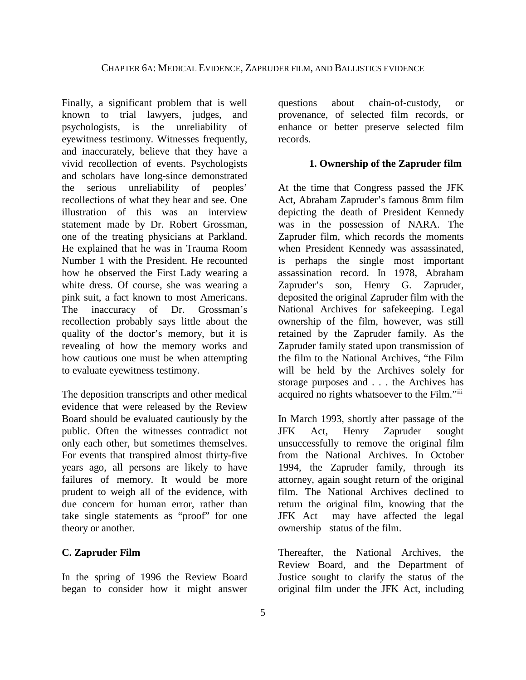Finally, a significant problem that is well known to trial lawyers, judges, and psychologists, is the unreliability of eyewitness testimony. Witnesses frequently, and inaccurately, believe that they have a vivid recollection of events. Psychologists and scholars have long-since demonstrated the serious unreliability of peoples' recollections of what they hear and see. One illustration of this was an interview statement made by Dr. Robert Grossman, one of the treating physicians at Parkland. He explained that he was in Trauma Room Number 1 with the President. He recounted how he observed the First Lady wearing a white dress. Of course, she was wearing a pink suit, a fact known to most Americans. The inaccuracy of Dr. Grossman's recollection probably says little about the quality of the doctor's memory, but it is revealing of how the memory works and how cautious one must be when attempting to evaluate eyewitness testimony.

The deposition transcripts and other medical evidence that were released by the Review Board should be evaluated cautiously by the public. Often the witnesses contradict not only each other, but sometimes themselves. For events that transpired almost thirty-five years ago, all persons are likely to have failures of memory. It would be more prudent to weigh all of the evidence, with due concern for human error, rather than take single statements as "proof" for one theory or another.

### **C. Zapruder Film**

In the spring of 1996 the Review Board began to consider how it might answer questions about chain-of-custody, or provenance, of selected film records, or enhance or better preserve selected film records.

### **1. Ownership of the Zapruder film**

At the time that Congress passed the JFK Act, Abraham Zapruder's famous 8mm film depicting the death of President Kennedy was in the possession of NARA. The Zapruder film, which records the moments when President Kennedy was assassinated, is perhaps the single most important assassination record. In 1978, Abraham Zapruder's son, Henry G. Zapruder, deposited the original Zapruder film with the National Archives for safekeeping. Legal ownership of the film, however, was still retained by the Zapruder family. As the Zapruder family stated upon transmission of the film to the National Archives, "the Film will be held by the Archives solely for storage purposes and . . . the Archives has acquired no rights whatsoever to the Film."[iii](#page-10-2)

In March 1993, shortly after passage of the JFK Act, Henry Zapruder sought unsuccessfully to remove the original film from the National Archives. In October 1994, the Zapruder family, through its attorney, again sought return of the original film. The National Archives declined to return the original film, knowing that the JFK Act may have affected the legal ownership status of the film.

Thereafter, the National Archives, the Review Board, and the Department of Justice sought to clarify the status of the original film under the JFK Act, including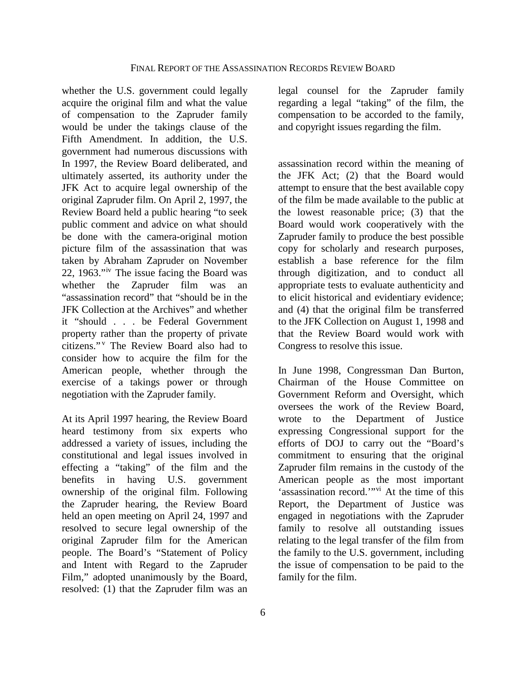whether the U.S. government could legally acquire the original film and what the value of compensation to the Zapruder family would be under the takings clause of the Fifth Amendment. In addition, the U.S. government had numerous discussions with In 1997, the Review Board deliberated, and ultimately asserted, its authority under the JFK Act to acquire legal ownership of the original Zapruder film. On April 2, 1997, the Review Board held a public hearing "to seek public comment and advice on what should be done with the camera-original motion picture film of the assassination that was taken by Abraham Zapruder on November 22, 1963."[iv](#page-10-3) The issue facing the Board was whether the Zapruder film was an "assassination record" that "should be in the JFK Collection at the Archives" and whether it "should . . . be Federal Government property rather than the property of private citizens." The Re[v](#page-10-4)iew Board also had to consider how to acquire the film for the American people, whether through the exercise of a takings power or through negotiation with the Zapruder family.

At its April 1997 hearing, the Review Board heard testimony from six experts who addressed a variety of issues, including the constitutional and legal issues involved in effecting a "taking" of the film and the benefits in having U.S. government ownership of the original film. Following the Zapruder hearing, the Review Board held an open meeting on April 24, 1997 and resolved to secure legal ownership of the original Zapruder film for the American people. The Board's "Statement of Policy and Intent with Regard to the Zapruder Film," adopted unanimously by the Board, resolved: (1) that the Zapruder film was an legal counsel for the Zapruder family regarding a legal "taking" of the film, the compensation to be accorded to the family, and copyright issues regarding the film.

assassination record within the meaning of the JFK Act; (2) that the Board would attempt to ensure that the best available copy of the film be made available to the public at the lowest reasonable price; (3) that the Board would work cooperatively with the Zapruder family to produce the best possible copy for scholarly and research purposes, establish a base reference for the film through digitization, and to conduct all appropriate tests to evaluate authenticity and to elicit historical and evidentiary evidence; and (4) that the original film be transferred to the JFK Collection on August 1, 1998 and that the Review Board would work with Congress to resolve this issue.

In June 1998, Congressman Dan Burton, Chairman of the House Committee on Government Reform and Oversight, which oversees the work of the Review Board, wrote to the Department of Justice expressing Congressional support for the efforts of DOJ to carry out the "Board's commitment to ensuring that the original Zapruder film remains in the custody of the American people as the most important 'assassination record.'"[vi](#page-10-5) At the time of this Report, the Department of Justice was engaged in negotiations with the Zapruder family to resolve all outstanding issues relating to the legal transfer of the film from the family to the U.S. government, including the issue of compensation to be paid to the family for the film.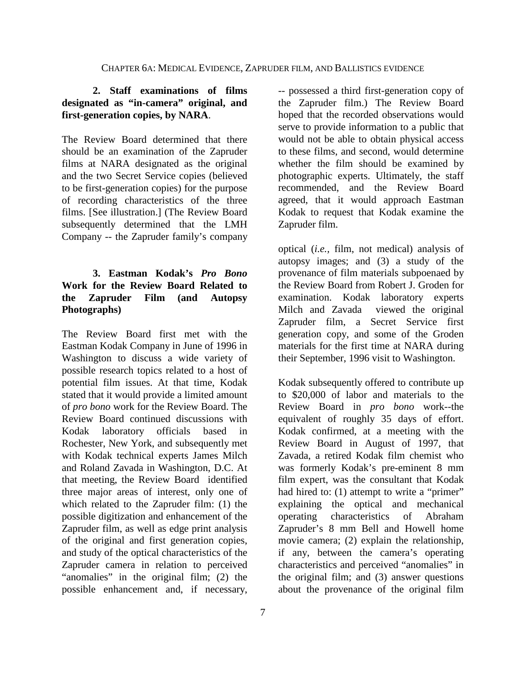### **2. Staff examinations of films designated as "in-camera" original, and first-generation copies, by NARA**.

The Review Board determined that there should be an examination of the Zapruder films at NARA designated as the original and the two Secret Service copies (believed to be first-generation copies) for the purpose of recording characteristics of the three films. [See illustration.] (The Review Board subsequently determined that the LMH Company -- the Zapruder family's company

# **3. Eastman Kodak's** *Pro Bono* **Work for the Review Board Related to the Zapruder Film (and Autopsy Photographs)**

The Review Board first met with the Eastman Kodak Company in June of 1996 in Washington to discuss a wide variety of possible research topics related to a host of potential film issues. At that time, Kodak stated that it would provide a limited amount of *pro bono* work for the Review Board. The Review Board continued discussions with Kodak laboratory officials based in Rochester, New York, and subsequently met with Kodak technical experts James Milch and Roland Zavada in Washington, D.C. At that meeting, the Review Board identified three major areas of interest, only one of which related to the Zapruder film: (1) the possible digitization and enhancement of the Zapruder film, as well as edge print analysis of the original and first generation copies, and study of the optical characteristics of the Zapruder camera in relation to perceived "anomalies" in the original film; (2) the possible enhancement and, if necessary,

-- possessed a third first-generation copy of the Zapruder film.) The Review Board hoped that the recorded observations would serve to provide information to a public that would not be able to obtain physical access to these films, and second, would determine whether the film should be examined by photographic experts. Ultimately, the staff recommended, and the Review Board agreed, that it would approach Eastman Kodak to request that Kodak examine the Zapruder film.

optical (*i.e.,* film, not medical) analysis of autopsy images; and (3) a study of the provenance of film materials subpoenaed by the Review Board from Robert J. Groden for examination. Kodak laboratory experts Milch and Zavada viewed the original Zapruder film, a Secret Service first generation copy, and some of the Groden materials for the first time at NARA during their September, 1996 visit to Washington.

Kodak subsequently offered to contribute up to \$20,000 of labor and materials to the Review Board in *pro bono* work--the equivalent of roughly 35 days of effort. Kodak confirmed, at a meeting with the Review Board in August of 1997, that Zavada, a retired Kodak film chemist who was formerly Kodak's pre-eminent 8 mm film expert, was the consultant that Kodak had hired to: (1) attempt to write a "primer" explaining the optical and mechanical operating characteristics of Abraham Zapruder's 8 mm Bell and Howell home movie camera; (2) explain the relationship, if any, between the camera's operating characteristics and perceived "anomalies" in the original film; and (3) answer questions about the provenance of the original film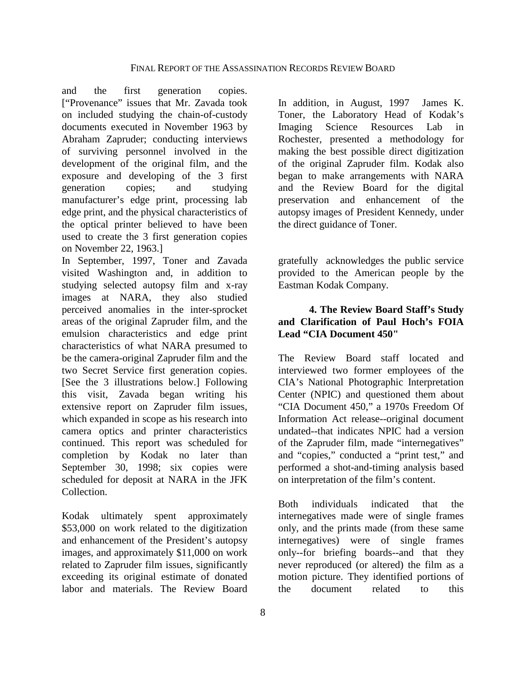and the first generation copies. ["Provenance" issues that Mr. Zavada took on included studying the chain-of-custody documents executed in November 1963 by Abraham Zapruder; conducting interviews of surviving personnel involved in the development of the original film, and the exposure and developing of the 3 first generation copies; and studying manufacturer's edge print, processing lab edge print, and the physical characteristics of the optical printer believed to have been used to create the 3 first generation copies on November 22, 1963.]

In September, 1997, Toner and Zavada visited Washington and, in addition to studying selected autopsy film and x-ray images at NARA, they also studied perceived anomalies in the inter-sprocket areas of the original Zapruder film, and the emulsion characteristics and edge print characteristics of what NARA presumed to be the camera-original Zapruder film and the two Secret Service first generation copies. [See the 3 illustrations below.] Following this visit, Zavada began writing his extensive report on Zapruder film issues, which expanded in scope as his research into camera optics and printer characteristics continued. This report was scheduled for completion by Kodak no later than September 30, 1998; six copies were scheduled for deposit at NARA in the JFK Collection.

Kodak ultimately spent approximately \$53,000 on work related to the digitization and enhancement of the President's autopsy images, and approximately \$11,000 on work related to Zapruder film issues, significantly exceeding its original estimate of donated labor and materials. The Review Board

In addition, in August, 1997 James K. Toner, the Laboratory Head of Kodak's Imaging Science Resources Lab in Rochester, presented a methodology for making the best possible direct digitization of the original Zapruder film. Kodak also began to make arrangements with NARA and the Review Board for the digital preservation and enhancement of the autopsy images of President Kennedy, under the direct guidance of Toner.

gratefully acknowledges the public service provided to the American people by the Eastman Kodak Company.

# **4. The Review Board Staff's Study and Clarification of Paul Hoch's FOIA Lead "CIA Document 450"**

The Review Board staff located and interviewed two former employees of the CIA's National Photographic Interpretation Center (NPIC) and questioned them about "CIA Document 450," a 1970s Freedom Of Information Act release--original document undated--that indicates NPIC had a version of the Zapruder film, made "internegatives" and "copies," conducted a "print test," and performed a shot-and-timing analysis based on interpretation of the film's content.

Both individuals indicated that the internegatives made were of single frames only, and the prints made (from these same internegatives) were of single frames only--for briefing boards--and that they never reproduced (or altered) the film as a motion picture. They identified portions of the document related to this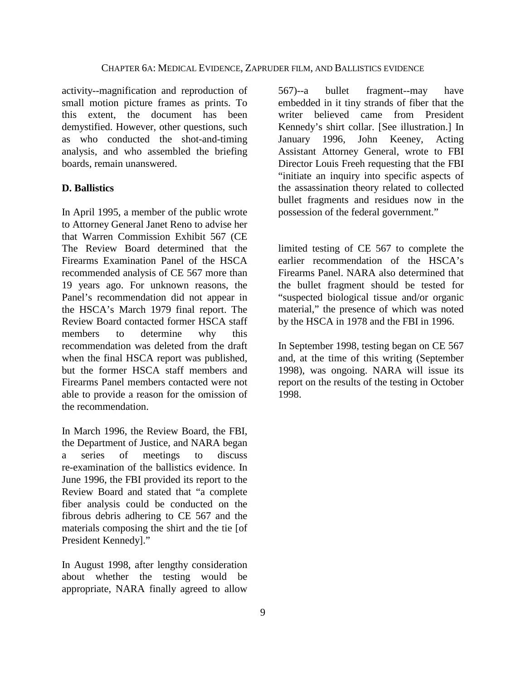activity--magnification and reproduction of small motion picture frames as prints. To this extent, the document has been demystified. However, other questions, such as who conducted the shot-and-timing analysis, and who assembled the briefing boards, remain unanswered.

### **D. Ballistics**

In April 1995, a member of the public wrote to Attorney General Janet Reno to advise her that Warren Commission Exhibit 567 (CE The Review Board determined that the Firearms Examination Panel of the HSCA recommended analysis of CE 567 more than 19 years ago. For unknown reasons, the Panel's recommendation did not appear in the HSCA's March 1979 final report. The Review Board contacted former HSCA staff members to determine why this recommendation was deleted from the draft when the final HSCA report was published, but the former HSCA staff members and Firearms Panel members contacted were not able to provide a reason for the omission of the recommendation.

In March 1996, the Review Board, the FBI, the Department of Justice, and NARA began a series of meetings to discuss re-examination of the ballistics evidence. In June 1996, the FBI provided its report to the Review Board and stated that "a complete fiber analysis could be conducted on the fibrous debris adhering to CE 567 and the materials composing the shirt and the tie [of President Kennedy]."

In August 1998, after lengthy consideration about whether the testing would be appropriate, NARA finally agreed to allow

567)--a bullet fragment--may have embedded in it tiny strands of fiber that the writer believed came from President Kennedy's shirt collar. [See illustration.] In January 1996, John Keeney, Acting Assistant Attorney General, wrote to FBI Director Louis Freeh requesting that the FBI "initiate an inquiry into specific aspects of the assassination theory related to collected bullet fragments and residues now in the possession of the federal government."

limited testing of CE 567 to complete the earlier recommendation of the HSCA's Firearms Panel. NARA also determined that the bullet fragment should be tested for "suspected biological tissue and/or organic material," the presence of which was noted by the HSCA in 1978 and the FBI in 1996.

In September 1998, testing began on CE 567 and, at the time of this writing (September 1998), was ongoing. NARA will issue its report on the results of the testing in October 1998.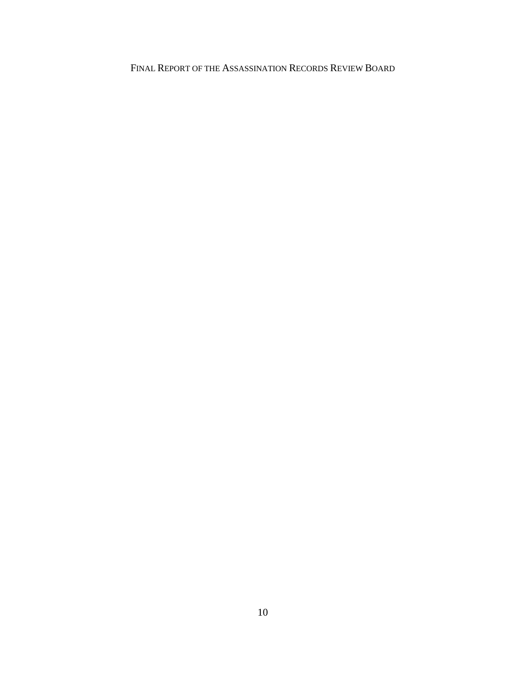# FINAL REPORT OF THE ASSASSINATION RECORDS REVIEW BOARD